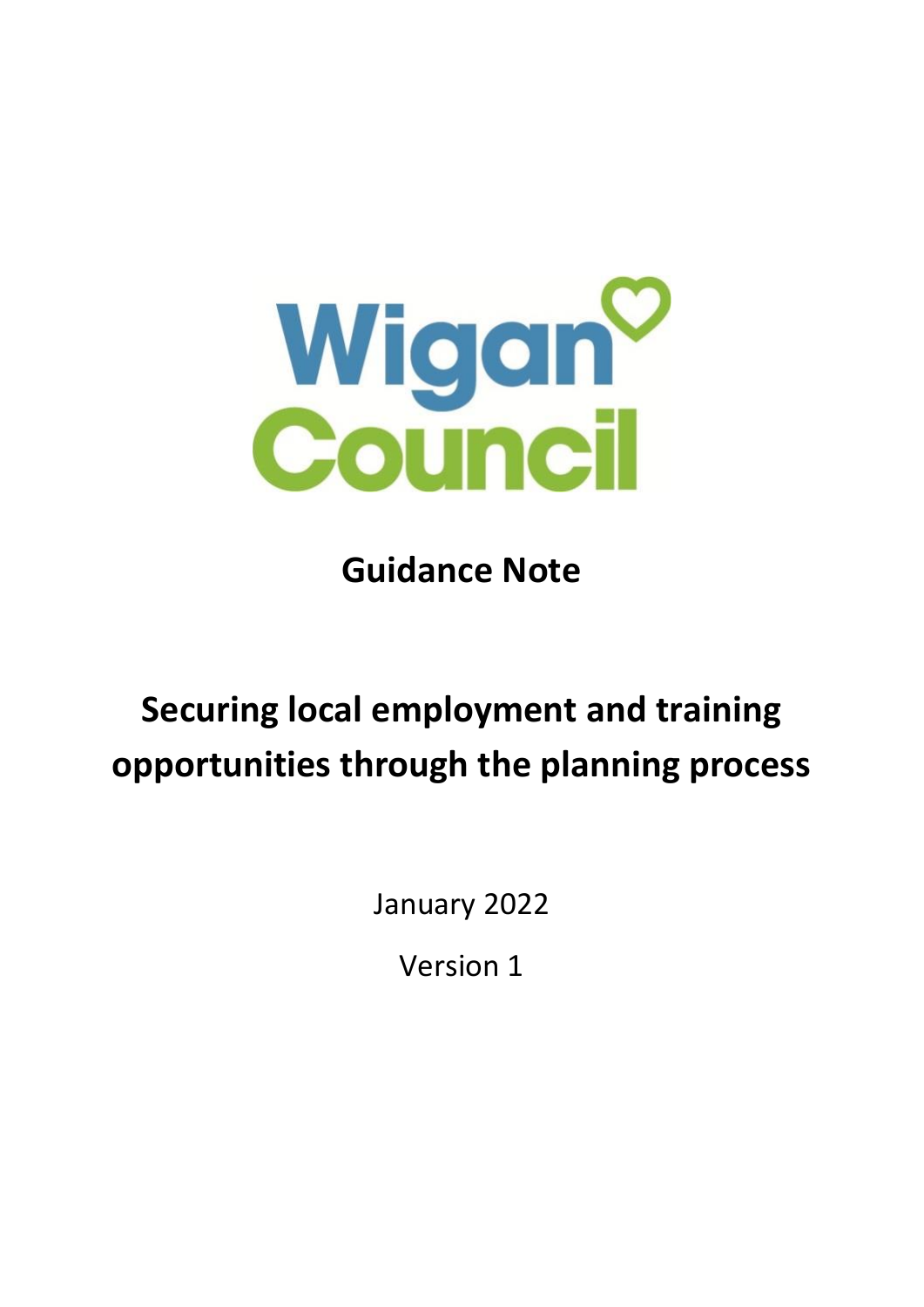

**Guidance Note**

# **Securing local employment and training opportunities through the planning process**

January 2022

Version 1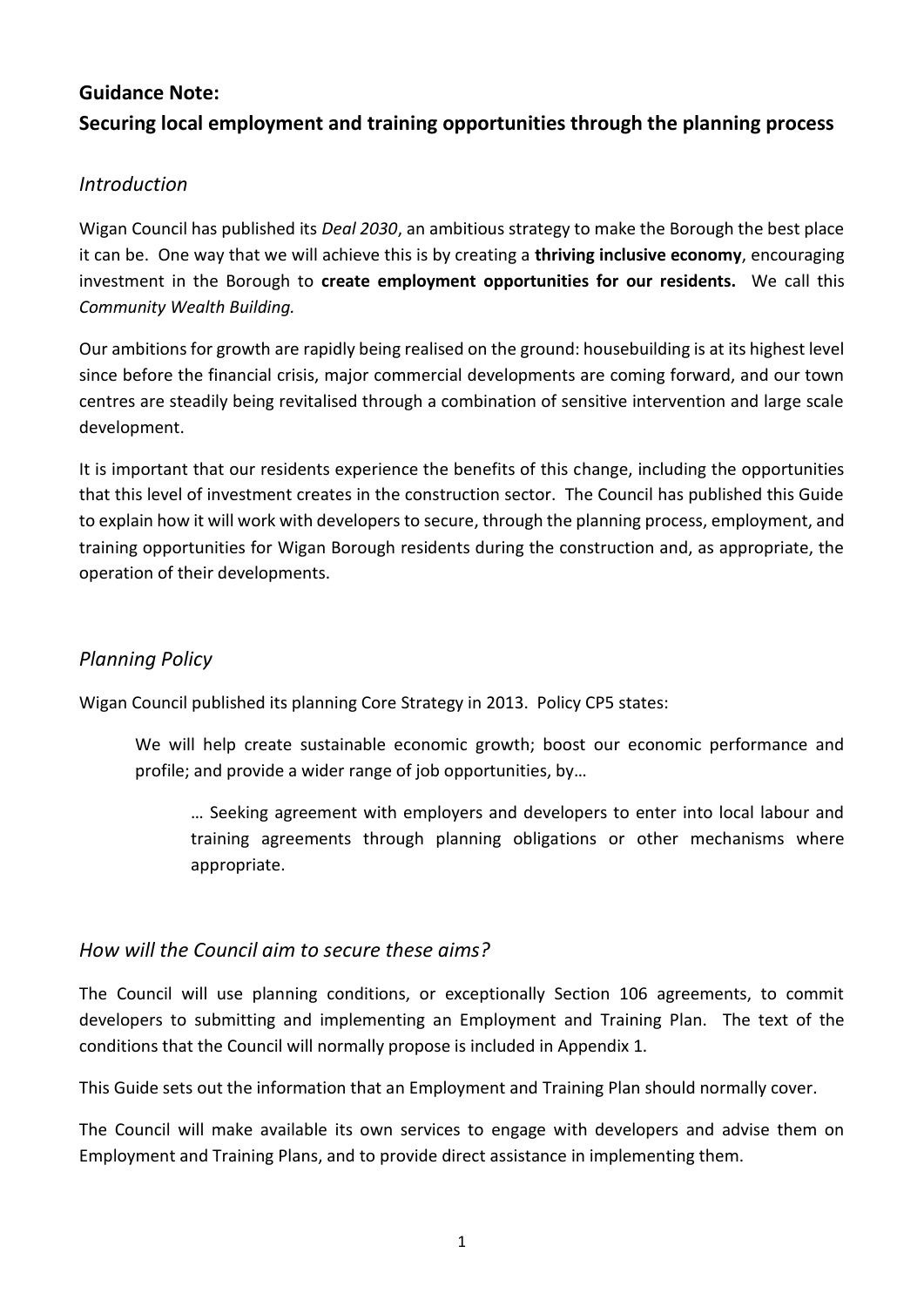# **Guidance Note: Securing local employment and training opportunities through the planning process**

# *Introduction*

Wigan Council has published its *Deal 2030*, an ambitious strategy to make the Borough the best place it can be. One way that we will achieve this is by creating a **thriving inclusive economy**, encouraging investment in the Borough to **create employment opportunities for our residents.** We call this *Community Wealth Building.*

Our ambitions for growth are rapidly being realised on the ground: housebuilding is at its highest level since before the financial crisis, major commercial developments are coming forward, and our town centres are steadily being revitalised through a combination of sensitive intervention and large scale development.

It is important that our residents experience the benefits of this change, including the opportunities that this level of investment creates in the construction sector. The Council has published this Guide to explain how it will work with developers to secure, through the planning process, employment, and training opportunities for Wigan Borough residents during the construction and, as appropriate, the operation of their developments.

# *Planning Policy*

Wigan Council published its planning Core Strategy in 2013. Policy CP5 states:

We will help create sustainable economic growth; boost our economic performance and profile; and provide a wider range of job opportunities, by…

… Seeking agreement with employers and developers to enter into local labour and training agreements through planning obligations or other mechanisms where appropriate.

## *How will the Council aim to secure these aims?*

The Council will use planning conditions, or exceptionally Section 106 agreements, to commit developers to submitting and implementing an Employment and Training Plan. The text of the conditions that the Council will normally propose is included in Appendix 1.

This Guide sets out the information that an Employment and Training Plan should normally cover.

The Council will make available its own services to engage with developers and advise them on Employment and Training Plans, and to provide direct assistance in implementing them.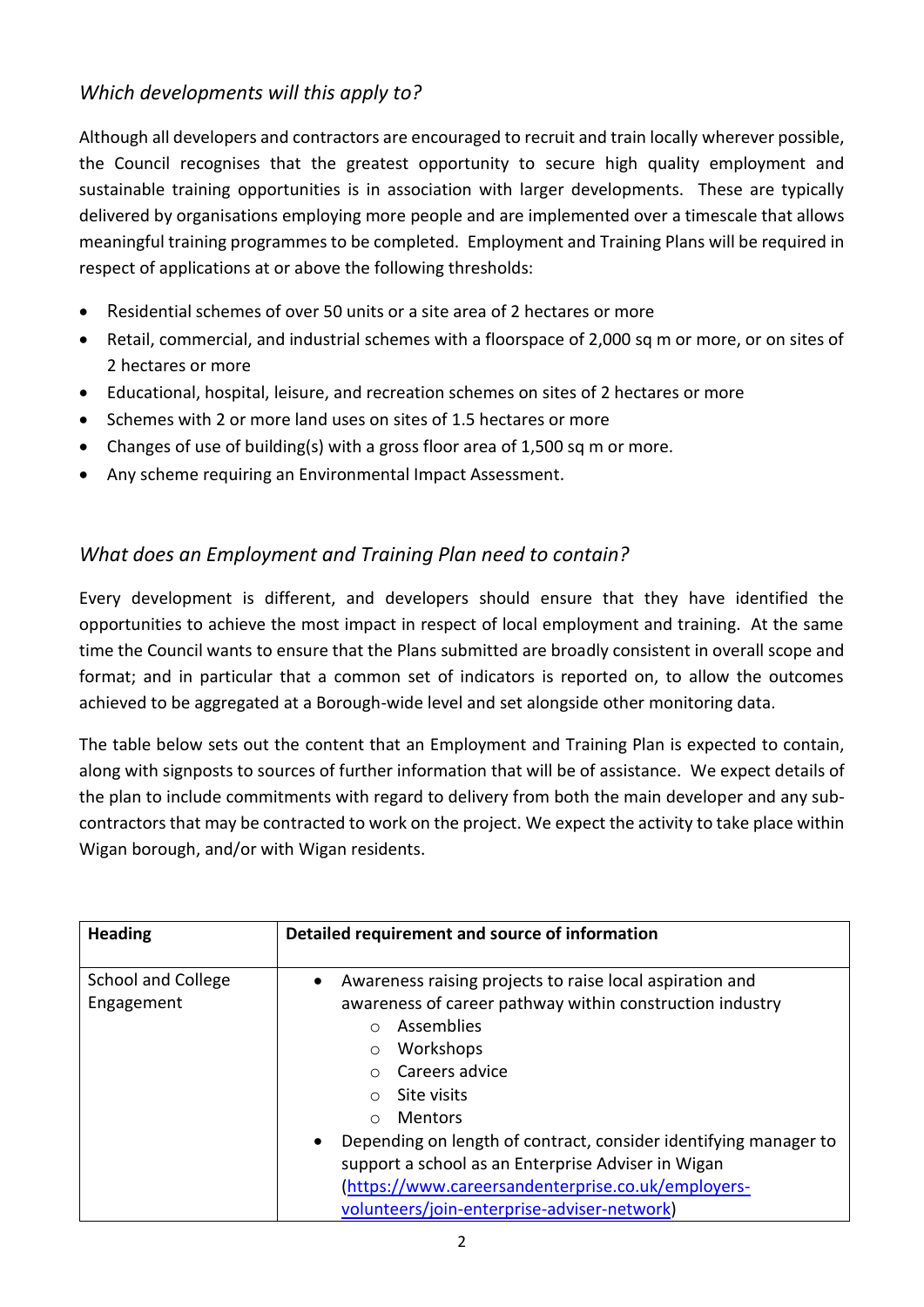# *Which developments will this apply to?*

Although all developers and contractors are encouraged to recruit and train locally wherever possible, the Council recognises that the greatest opportunity to secure high quality employment and sustainable training opportunities is in association with larger developments. These are typically delivered by organisations employing more people and are implemented over a timescale that allows meaningful training programmes to be completed. Employment and Training Plans will be required in respect of applications at or above the following thresholds:

- Residential schemes of over 50 units or a site area of 2 hectares or more
- Retail, commercial, and industrial schemes with a floorspace of 2,000 sq m or more, or on sites of 2 hectares or more
- Educational, hospital, leisure, and recreation schemes on sites of 2 hectares or more
- Schemes with 2 or more land uses on sites of 1.5 hectares or more
- Changes of use of building(s) with a gross floor area of 1,500 sq m or more.
- Any scheme requiring an Environmental Impact Assessment.

# *What does an Employment and Training Plan need to contain?*

Every development is different, and developers should ensure that they have identified the opportunities to achieve the most impact in respect of local employment and training. At the same time the Council wants to ensure that the Plans submitted are broadly consistent in overall scope and format; and in particular that a common set of indicators is reported on, to allow the outcomes achieved to be aggregated at a Borough-wide level and set alongside other monitoring data.

The table below sets out the content that an Employment and Training Plan is expected to contain, along with signposts to sources of further information that will be of assistance. We expect details of the plan to include commitments with regard to delivery from both the main developer and any subcontractors that may be contracted to work on the project. We expect the activity to take place within Wigan borough, and/or with Wigan residents.

| <b>Heading</b>                          | Detailed requirement and source of information                                                                                                                                                                                                                                                                                                                                                                                                                                          |
|-----------------------------------------|-----------------------------------------------------------------------------------------------------------------------------------------------------------------------------------------------------------------------------------------------------------------------------------------------------------------------------------------------------------------------------------------------------------------------------------------------------------------------------------------|
| <b>School and College</b><br>Engagement | Awareness raising projects to raise local aspiration and<br>awareness of career pathway within construction industry<br><b>Assemblies</b><br>$\cap$<br>Workshops<br>$\circ$<br>Careers advice<br>Site visits<br>$\bigcap$<br><b>Mentors</b><br>$\bigcap$<br>Depending on length of contract, consider identifying manager to<br>support a school as an Enterprise Adviser in Wigan<br>(https://www.careersandenterprise.co.uk/employers-<br>volunteers/join-enterprise-adviser-network) |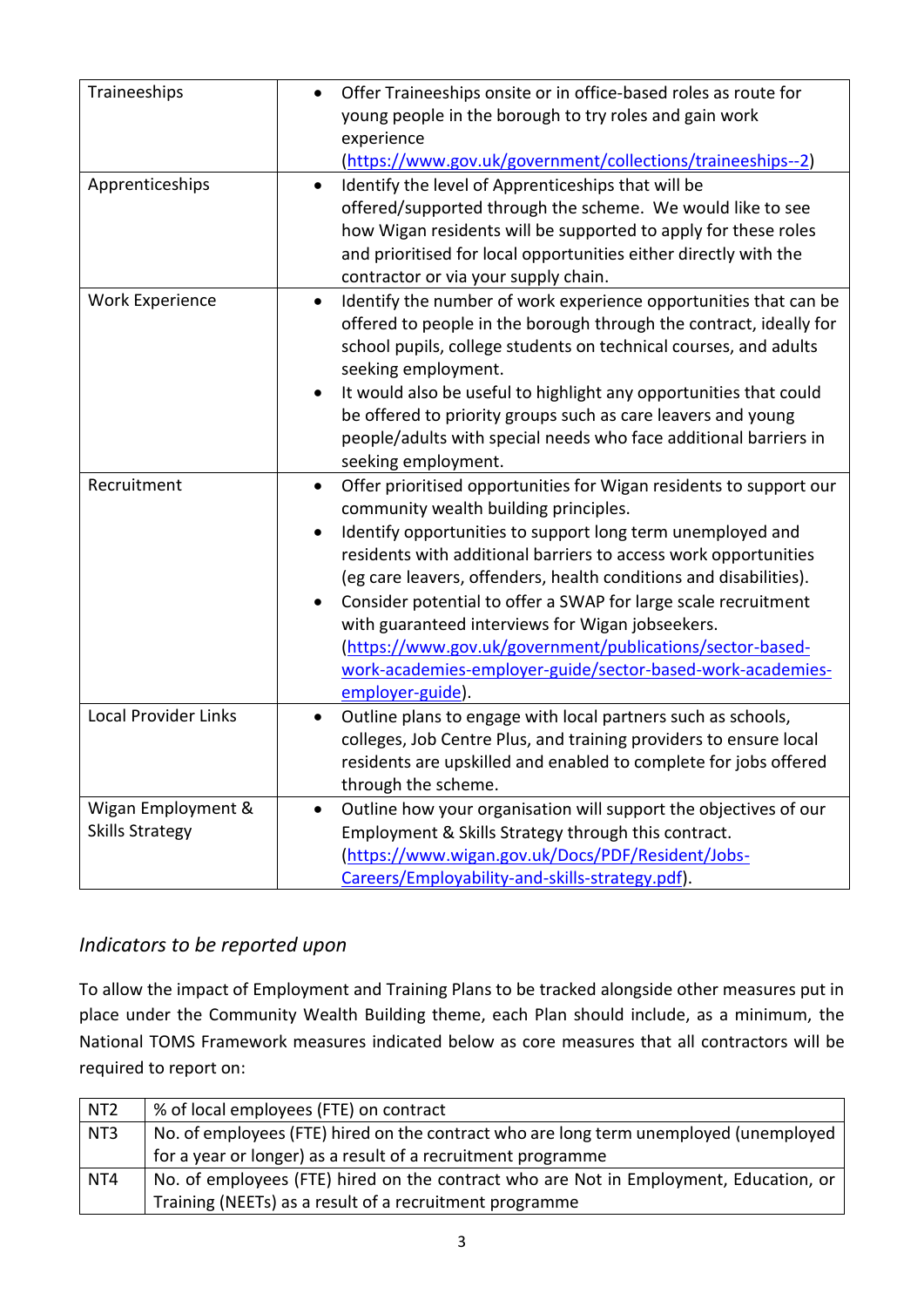| Traineeships                                 | Offer Traineeships onsite or in office-based roles as route for<br>young people in the borough to try roles and gain work<br>experience<br>(https://www.gov.uk/government/collections/traineeships--2)                                                                                                                                                                                                                                                                                                                                                                                              |
|----------------------------------------------|-----------------------------------------------------------------------------------------------------------------------------------------------------------------------------------------------------------------------------------------------------------------------------------------------------------------------------------------------------------------------------------------------------------------------------------------------------------------------------------------------------------------------------------------------------------------------------------------------------|
| Apprenticeships                              | Identify the level of Apprenticeships that will be<br>offered/supported through the scheme. We would like to see<br>how Wigan residents will be supported to apply for these roles<br>and prioritised for local opportunities either directly with the<br>contractor or via your supply chain.                                                                                                                                                                                                                                                                                                      |
| <b>Work Experience</b>                       | Identify the number of work experience opportunities that can be<br>$\bullet$<br>offered to people in the borough through the contract, ideally for<br>school pupils, college students on technical courses, and adults<br>seeking employment.<br>It would also be useful to highlight any opportunities that could<br>be offered to priority groups such as care leavers and young<br>people/adults with special needs who face additional barriers in<br>seeking employment.                                                                                                                      |
| Recruitment                                  | Offer prioritised opportunities for Wigan residents to support our<br>$\bullet$<br>community wealth building principles.<br>Identify opportunities to support long term unemployed and<br>residents with additional barriers to access work opportunities<br>(eg care leavers, offenders, health conditions and disabilities).<br>Consider potential to offer a SWAP for large scale recruitment<br>with guaranteed interviews for Wigan jobseekers.<br>(https://www.gov.uk/government/publications/sector-based-<br>work-academies-employer-guide/sector-based-work-academies-<br>employer-guide). |
| <b>Local Provider Links</b>                  | Outline plans to engage with local partners such as schools,<br>colleges, Job Centre Plus, and training providers to ensure local<br>residents are upskilled and enabled to complete for jobs offered<br>through the scheme.                                                                                                                                                                                                                                                                                                                                                                        |
| Wigan Employment &<br><b>Skills Strategy</b> | Outline how your organisation will support the objectives of our<br>$\bullet$<br>Employment & Skills Strategy through this contract.<br>(https://www.wigan.gov.uk/Docs/PDF/Resident/Jobs-<br>Careers/Employability-and-skills-strategy.pdf).                                                                                                                                                                                                                                                                                                                                                        |

# *Indicators to be reported upon*

To allow the impact of Employment and Training Plans to be tracked alongside other measures put in place under the Community Wealth Building theme, each Plan should include, as a minimum, the National TOMS Framework measures indicated below as core measures that all contractors will be required to report on:

| NT <sub>2</sub> | % of local employees (FTE) on contract                                                |
|-----------------|---------------------------------------------------------------------------------------|
| NT3             | No. of employees (FTE) hired on the contract who are long term unemployed (unemployed |
|                 | for a year or longer) as a result of a recruitment programme                          |
| NT4             | No. of employees (FTE) hired on the contract who are Not in Employment, Education, or |
|                 | Training (NEETs) as a result of a recruitment programme                               |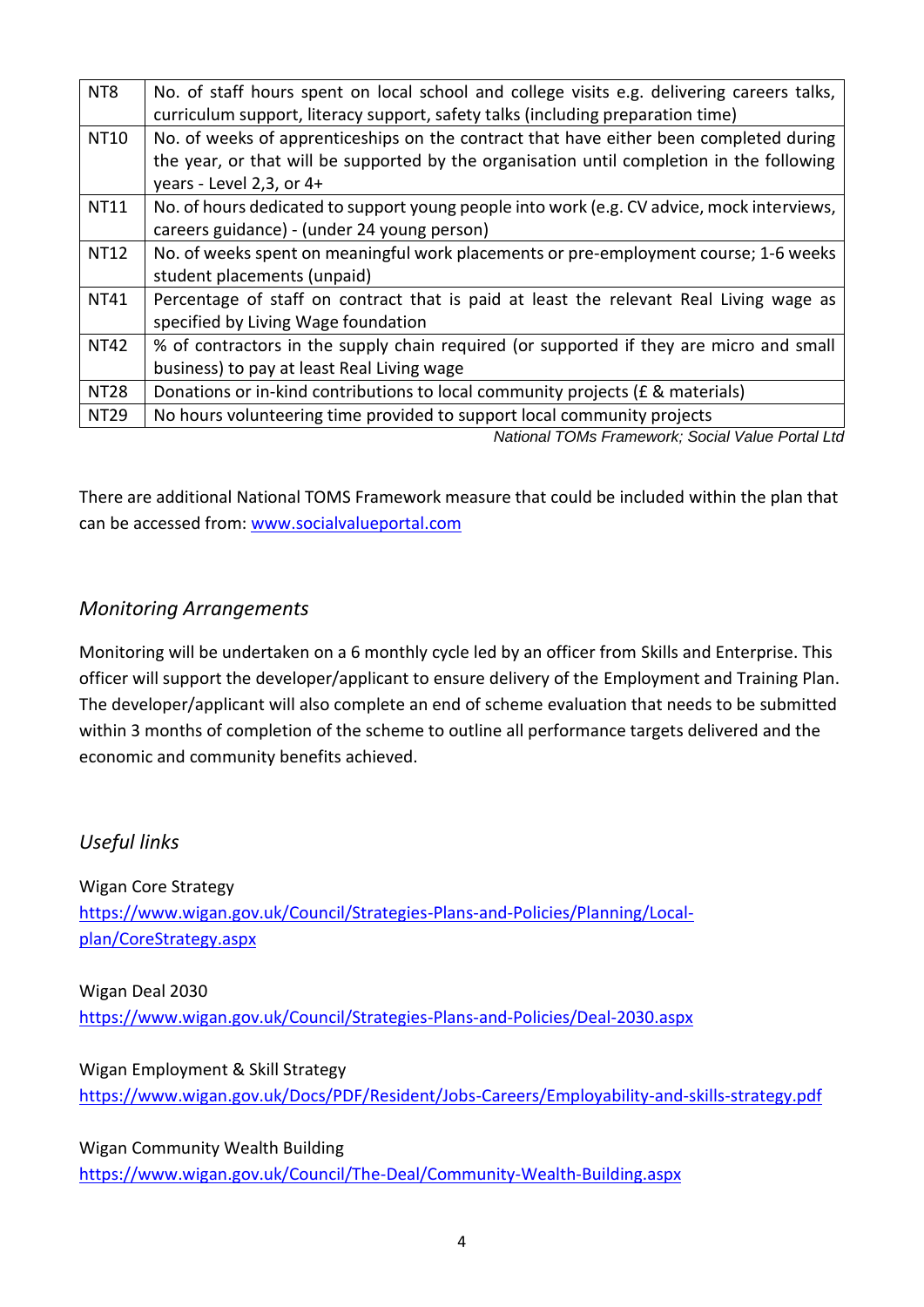| NT <sub>8</sub> | No. of staff hours spent on local school and college visits e.g. delivering careers talks, |
|-----------------|--------------------------------------------------------------------------------------------|
|                 | curriculum support, literacy support, safety talks (including preparation time)            |
| <b>NT10</b>     | No. of weeks of apprenticeships on the contract that have either been completed during     |
|                 | the year, or that will be supported by the organisation until completion in the following  |
|                 | years - Level 2,3, or 4+                                                                   |
| <b>NT11</b>     | No. of hours dedicated to support young people into work (e.g. CV advice, mock interviews, |
|                 | careers guidance) - (under 24 young person)                                                |
| <b>NT12</b>     | No. of weeks spent on meaningful work placements or pre-employment course; 1-6 weeks       |
|                 | student placements (unpaid)                                                                |
| <b>NT41</b>     | Percentage of staff on contract that is paid at least the relevant Real Living wage as     |
|                 | specified by Living Wage foundation                                                        |
| <b>NT42</b>     | % of contractors in the supply chain required (or supported if they are micro and small    |
|                 | business) to pay at least Real Living wage                                                 |
| <b>NT28</b>     | Donations or in-kind contributions to local community projects (£ & materials)             |
| <b>NT29</b>     | No hours volunteering time provided to support local community projects                    |
|                 | National TOMs Framework; Social Value Portal Ltd                                           |

There are additional National TOMS Framework measure that could be included within the plan that can be accessed from: [www.socialvalueportal.com](http://www.socialvalueportal.com/)

## *Monitoring Arrangements*

Monitoring will be undertaken on a 6 monthly cycle led by an officer from Skills and Enterprise. This officer will support the developer/applicant to ensure delivery of the Employment and Training Plan. The developer/applicant will also complete an end of scheme evaluation that needs to be submitted within 3 months of completion of the scheme to outline all performance targets delivered and the economic and community benefits achieved.

# *Useful links*

Wigan Core Strategy [https://www.wigan.gov.uk/Council/Strategies-Plans-and-Policies/Planning/Local](https://www.wigan.gov.uk/Council/Strategies-Plans-and-Policies/Planning/Local-plan/CoreStrategy.aspx)[plan/CoreStrategy.aspx](https://www.wigan.gov.uk/Council/Strategies-Plans-and-Policies/Planning/Local-plan/CoreStrategy.aspx)

Wigan Deal 2030

<https://www.wigan.gov.uk/Council/Strategies-Plans-and-Policies/Deal-2030.aspx>

### Wigan Employment & Skill Strategy

<https://www.wigan.gov.uk/Docs/PDF/Resident/Jobs-Careers/Employability-and-skills-strategy.pdf>

Wigan Community Wealth Building <https://www.wigan.gov.uk/Council/The-Deal/Community-Wealth-Building.aspx>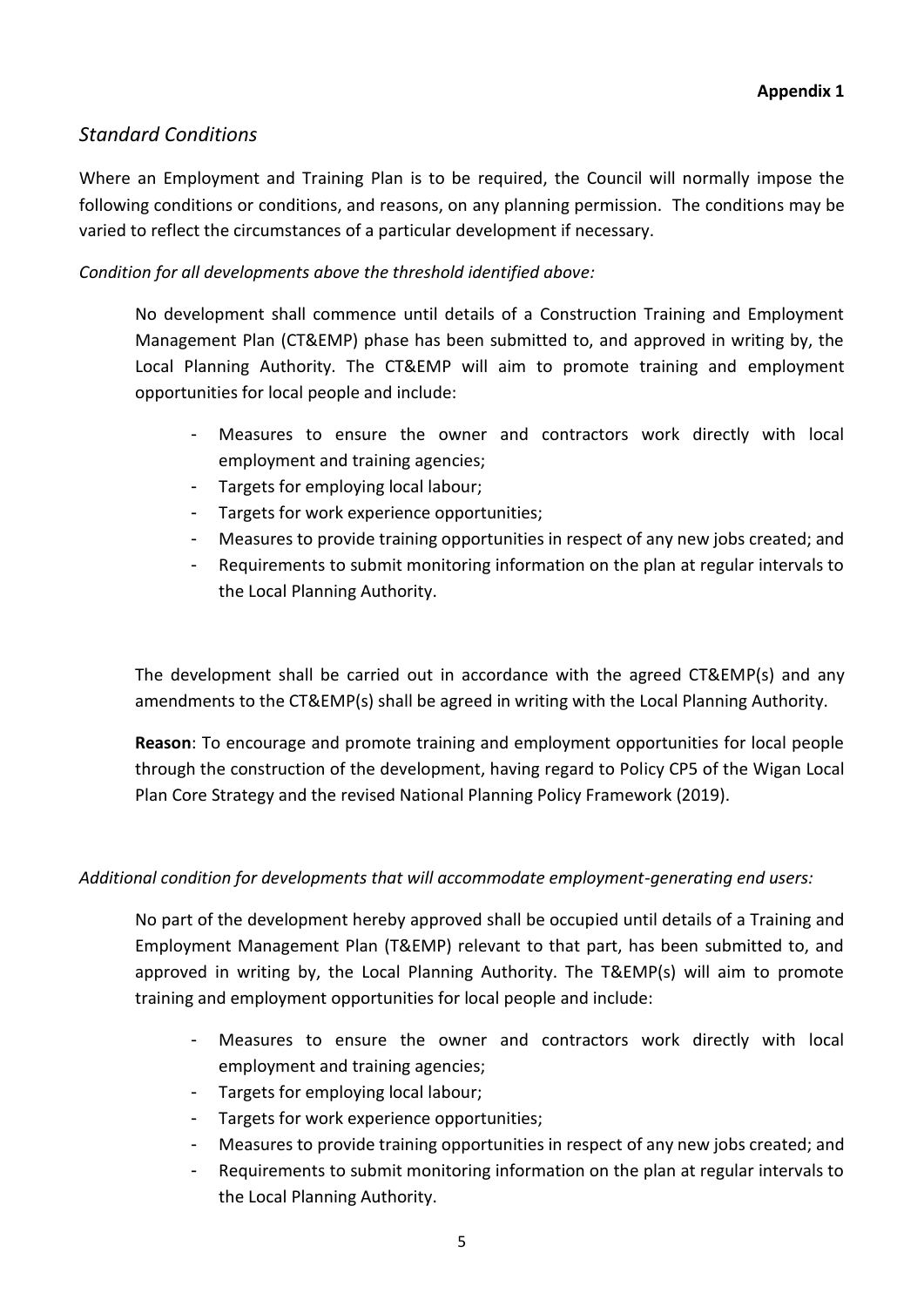# *Standard Conditions*

Where an Employment and Training Plan is to be required, the Council will normally impose the following conditions or conditions, and reasons, on any planning permission. The conditions may be varied to reflect the circumstances of a particular development if necessary.

*Condition for all developments above the threshold identified above:*

No development shall commence until details of a Construction Training and Employment Management Plan (CT&EMP) phase has been submitted to, and approved in writing by, the Local Planning Authority. The CT&EMP will aim to promote training and employment opportunities for local people and include:

- Measures to ensure the owner and contractors work directly with local employment and training agencies;
- Targets for employing local labour;
- Targets for work experience opportunities;
- Measures to provide training opportunities in respect of any new jobs created; and
- Requirements to submit monitoring information on the plan at regular intervals to the Local Planning Authority.

The development shall be carried out in accordance with the agreed CT&EMP(s) and any amendments to the CT&EMP(s) shall be agreed in writing with the Local Planning Authority.

**Reason**: To encourage and promote training and employment opportunities for local people through the construction of the development, having regard to Policy CP5 of the Wigan Local Plan Core Strategy and the revised National Planning Policy Framework (2019).

### *Additional condition for developments that will accommodate employment-generating end users:*

No part of the development hereby approved shall be occupied until details of a Training and Employment Management Plan (T&EMP) relevant to that part, has been submitted to, and approved in writing by, the Local Planning Authority. The T&EMP(s) will aim to promote training and employment opportunities for local people and include:

- Measures to ensure the owner and contractors work directly with local employment and training agencies;
- Targets for employing local labour;
- Targets for work experience opportunities;
- Measures to provide training opportunities in respect of any new jobs created; and
- Requirements to submit monitoring information on the plan at regular intervals to the Local Planning Authority.